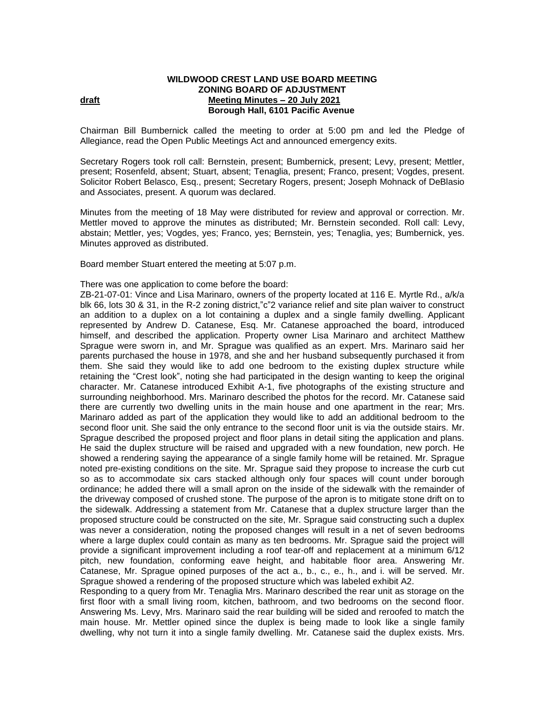## **WILDWOOD CREST LAND USE BOARD MEETING ZONING BOARD OF ADJUSTMENT draft Meeting Minutes – 20 July 2021 Borough Hall, 6101 Pacific Avenue**

Chairman Bill Bumbernick called the meeting to order at 5:00 pm and led the Pledge of Allegiance, read the Open Public Meetings Act and announced emergency exits.

Secretary Rogers took roll call: Bernstein, present; Bumbernick, present; Levy, present; Mettler, present; Rosenfeld, absent; Stuart, absent; Tenaglia, present; Franco, present; Vogdes, present. Solicitor Robert Belasco, Esq., present; Secretary Rogers, present; Joseph Mohnack of DeBlasio and Associates, present. A quorum was declared.

Minutes from the meeting of 18 May were distributed for review and approval or correction. Mr. Mettler moved to approve the minutes as distributed; Mr. Bernstein seconded. Roll call: Levy, abstain; Mettler, yes; Vogdes, yes; Franco, yes; Bernstein, yes; Tenaglia, yes; Bumbernick, yes. Minutes approved as distributed.

Board member Stuart entered the meeting at 5:07 p.m.

## There was one application to come before the board:

ZB-21-07-01: Vince and Lisa Marinaro, owners of the property located at 116 E. Myrtle Rd., a/k/a blk 66, lots 30 & 31, in the R-2 zoning district,"c"2 variance relief and site plan waiver to construct an addition to a duplex on a lot containing a duplex and a single family dwelling. Applicant represented by Andrew D. Catanese, Esq. Mr. Catanese approached the board, introduced himself, and described the application. Property owner Lisa Marinaro and architect Matthew Sprague were sworn in, and Mr. Sprague was qualified as an expert. Mrs. Marinaro said her parents purchased the house in 1978, and she and her husband subsequently purchased it from them. She said they would like to add one bedroom to the existing duplex structure while retaining the "Crest look", noting she had participated in the design wanting to keep the original character. Mr. Catanese introduced Exhibit A-1, five photographs of the existing structure and surrounding neighborhood. Mrs. Marinaro described the photos for the record. Mr. Catanese said there are currently two dwelling units in the main house and one apartment in the rear; Mrs. Marinaro added as part of the application they would like to add an additional bedroom to the second floor unit. She said the only entrance to the second floor unit is via the outside stairs. Mr. Sprague described the proposed project and floor plans in detail siting the application and plans. He said the duplex structure will be raised and upgraded with a new foundation, new porch. He showed a rendering saying the appearance of a single family home will be retained. Mr. Sprague noted pre-existing conditions on the site. Mr. Sprague said they propose to increase the curb cut so as to accommodate six cars stacked although only four spaces will count under borough ordinance; he added there will a small apron on the inside of the sidewalk with the remainder of the driveway composed of crushed stone. The purpose of the apron is to mitigate stone drift on to the sidewalk. Addressing a statement from Mr. Catanese that a duplex structure larger than the proposed structure could be constructed on the site, Mr. Sprague said constructing such a duplex was never a consideration, noting the proposed changes will result in a net of seven bedrooms where a large duplex could contain as many as ten bedrooms. Mr. Sprague said the project will provide a significant improvement including a roof tear-off and replacement at a minimum 6/12 pitch, new foundation, conforming eave height, and habitable floor area. Answering Mr. Catanese, Mr. Sprague opined purposes of the act a., b., c., e., h., and i. will be served. Mr. Sprague showed a rendering of the proposed structure which was labeled exhibit A2.

Responding to a query from Mr. Tenaglia Mrs. Marinaro described the rear unit as storage on the first floor with a small living room, kitchen, bathroom, and two bedrooms on the second floor. Answering Ms. Levy, Mrs. Marinaro said the rear building will be sided and reroofed to match the main house. Mr. Mettler opined since the duplex is being made to look like a single family dwelling, why not turn it into a single family dwelling. Mr. Catanese said the duplex exists. Mrs.